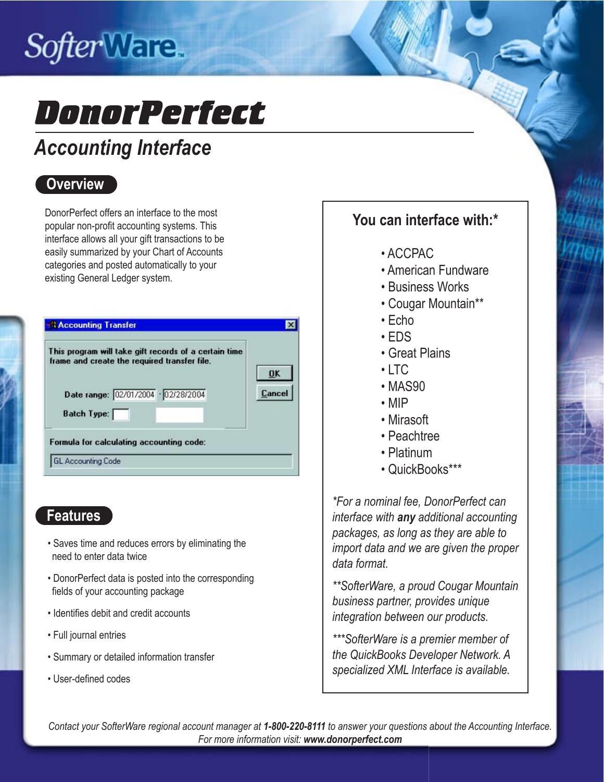# Softer Ware.

# DonorPerfect

# *Accounting Interface*

### **Overview**

DonorPerfect offers an interface to the most popular non-profit accounting systems. This interface allows all your gift transactions to be easily summarized by your Chart of Accounts categories and posted automatically to your existing General Ledger system.

|                    | This program will take gift records of a certain time<br>frame and create the required transfer file. | <b>OK</b> |
|--------------------|-------------------------------------------------------------------------------------------------------|-----------|
|                    | Date range: 02/01/2004 · 02/28/2004                                                                   | Cancel    |
| <b>Batch Type:</b> |                                                                                                       |           |
|                    | Formula for calculating accounting code:                                                              |           |

### **Features**

- Saves time and reduces errors by eliminating the need to enter data twice
- DonorPerfect data is posted into the corresponding fields of your accounting package
- Identifies debit and credit accounts
- Full journal entries
- Summary or detailed information transfer
- User-defined codes

### **You can interface with:\***

- ACCPAC
- American Fundware
- Business Works
- Cougar Mountain\*\*
- Echo
- EDS
- Great Plains
- $\cdot$  LTC
- MAS90
- MIP
- Mirasoft
- Peachtree
- Platinum
- QuickBooks\*\*\*

*\*For a nominal fee, DonorPerfect can interface with any additional accounting packages, as long as they are able to import data and we are given the proper data format.*

*\*\*SofterWare, a proud Cougar Mountain business partner, provides unique integration between our products.*

*\*\*\*SofterWare is a premier member of the QuickBooks Developer Network. A specialized XML Interface is available.* 

*Contact your SofterWare regional account manager at 1-800-220-8111 to answer your questions about the Accounting Interface. For more information visit: www.donorperfect.com*